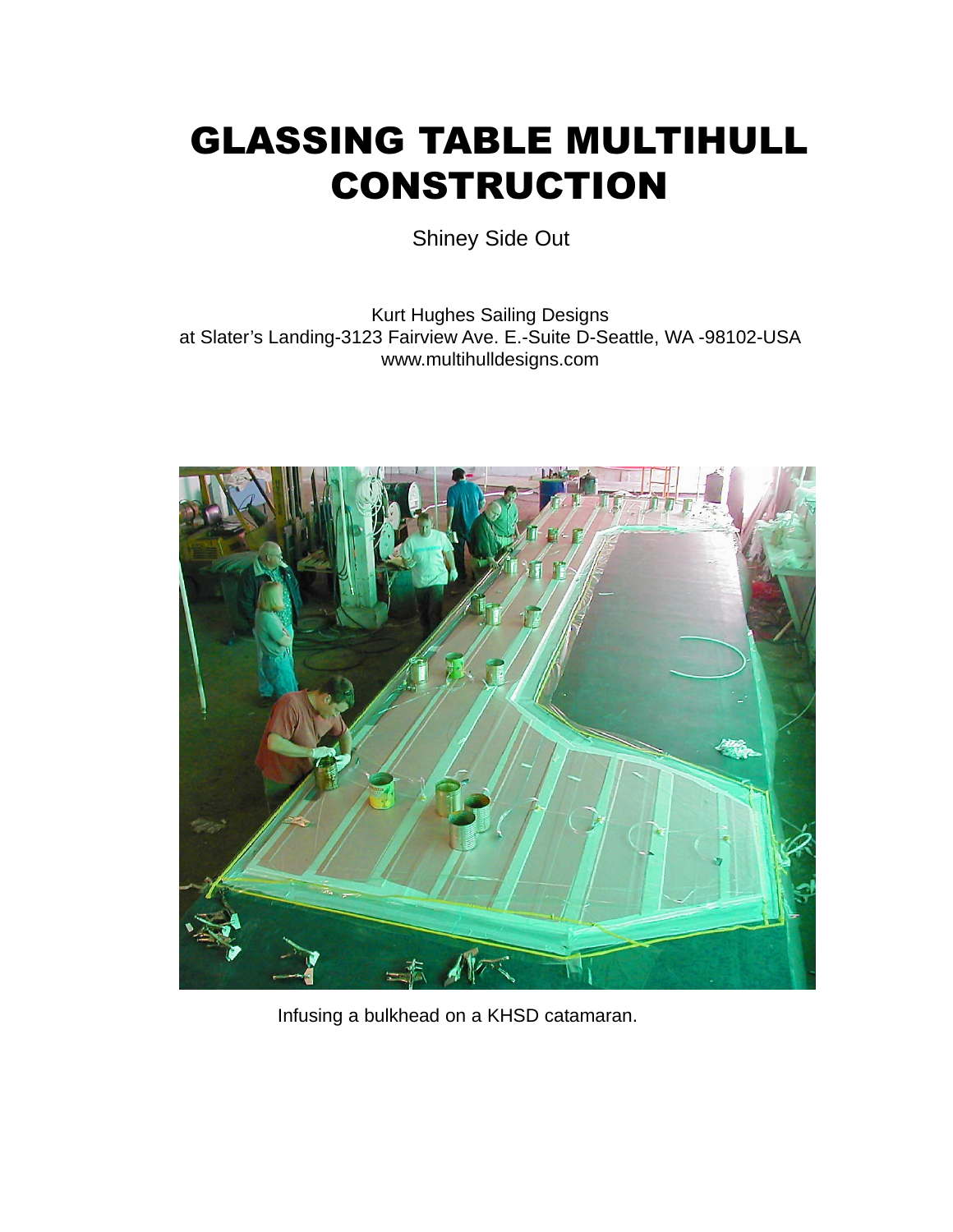## GLASSING TABLE MULTIHULL CONSTRUCTION

Shiney Side Out

Kurt Hughes Sailing Designs at Slater's Landing-3123 Fairview Ave. E.-Suite D-Seattle, WA -98102-USA www.multihulldesigns.com



Infusing a bulkhead on a KHSD catamaran.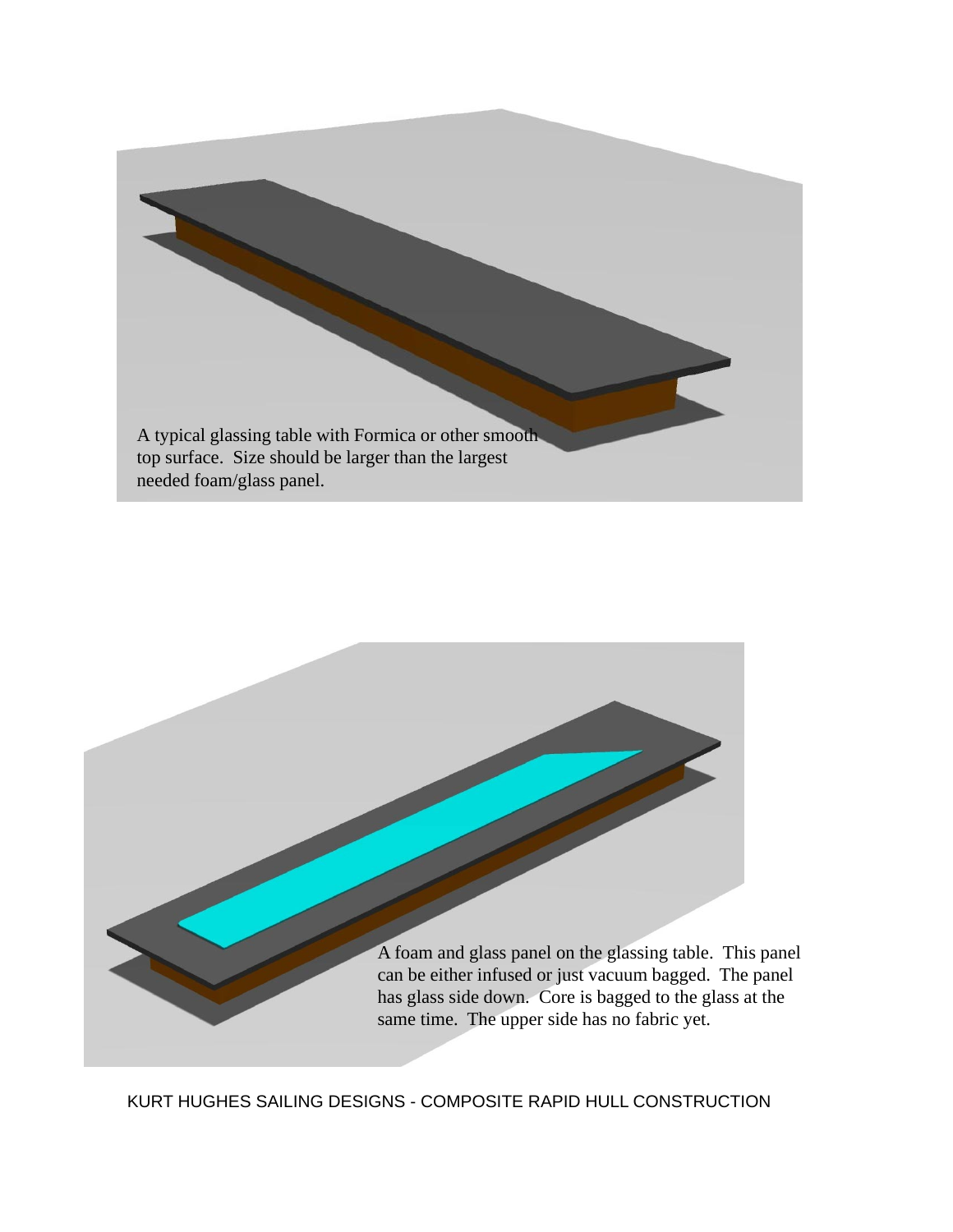

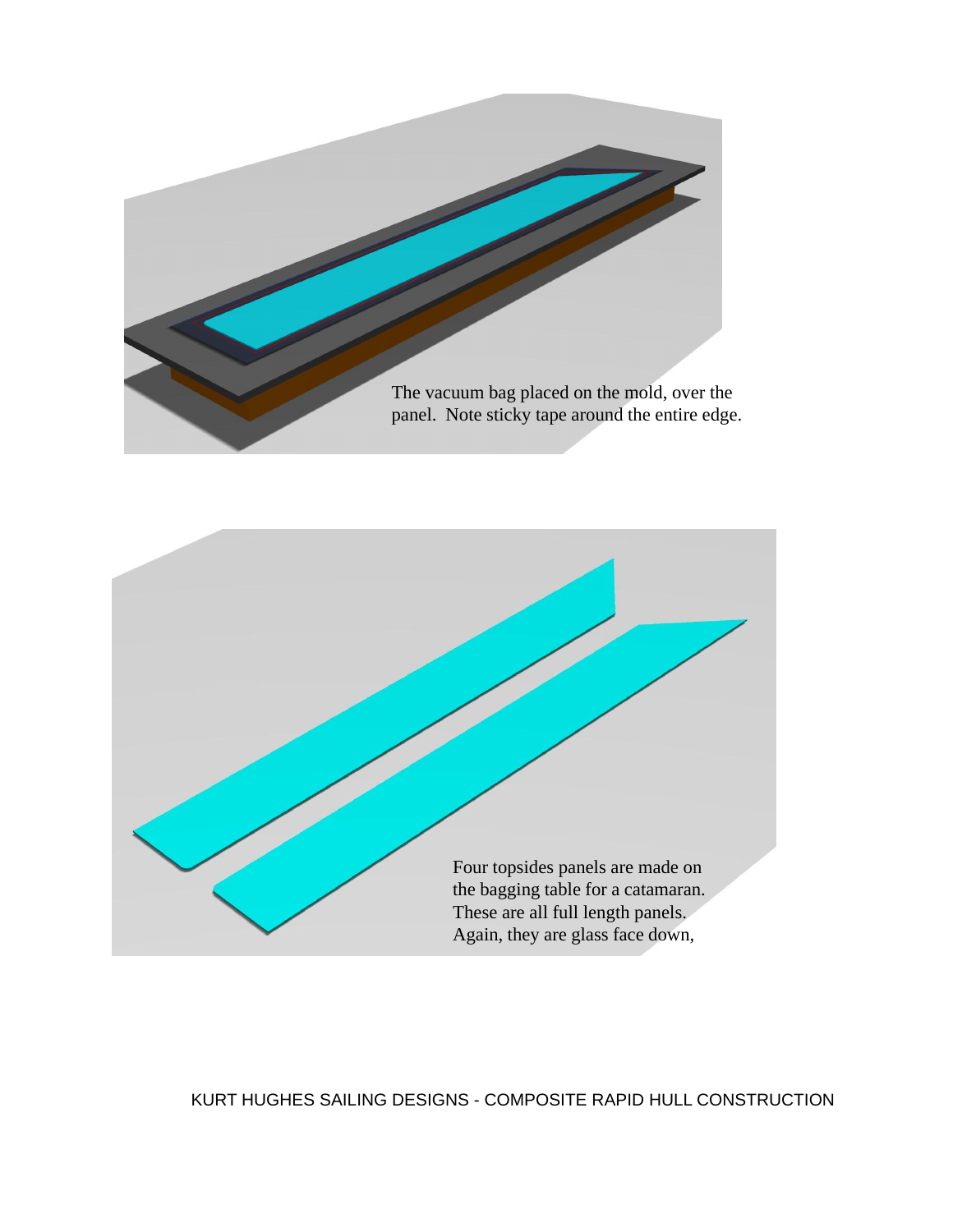

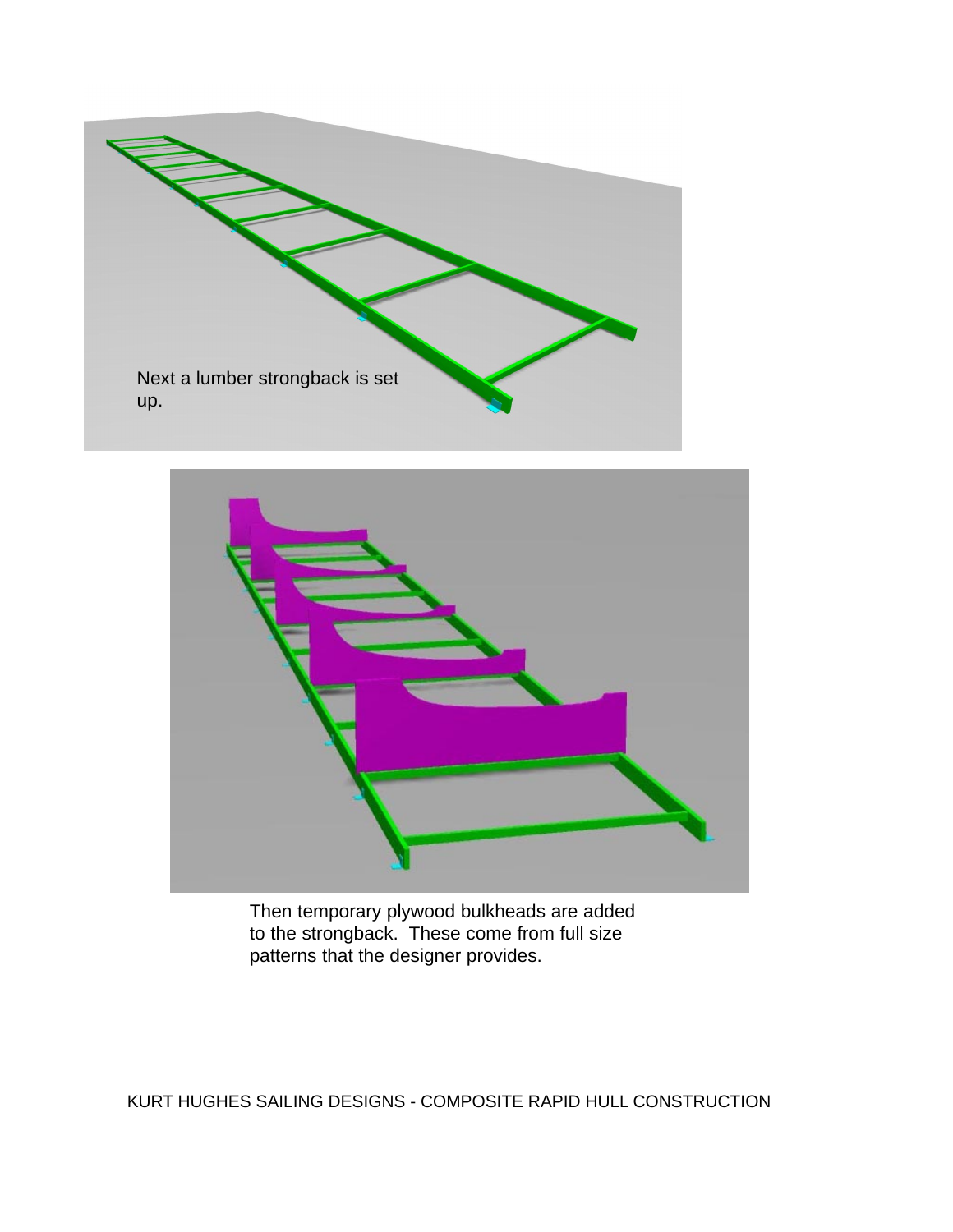



Then temporary plywood bulkheads are added to the strongback. These come from full size patterns that the designer provides.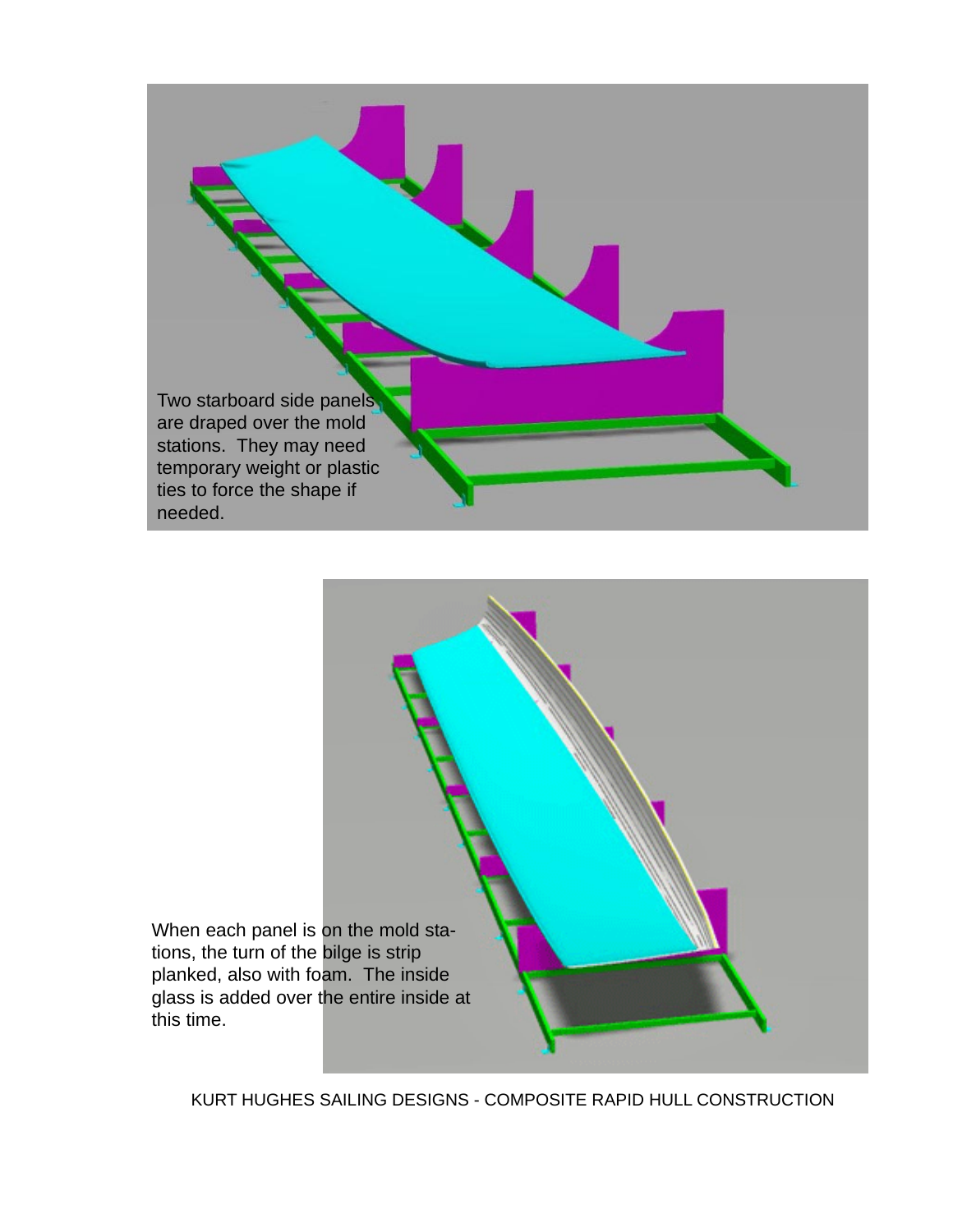

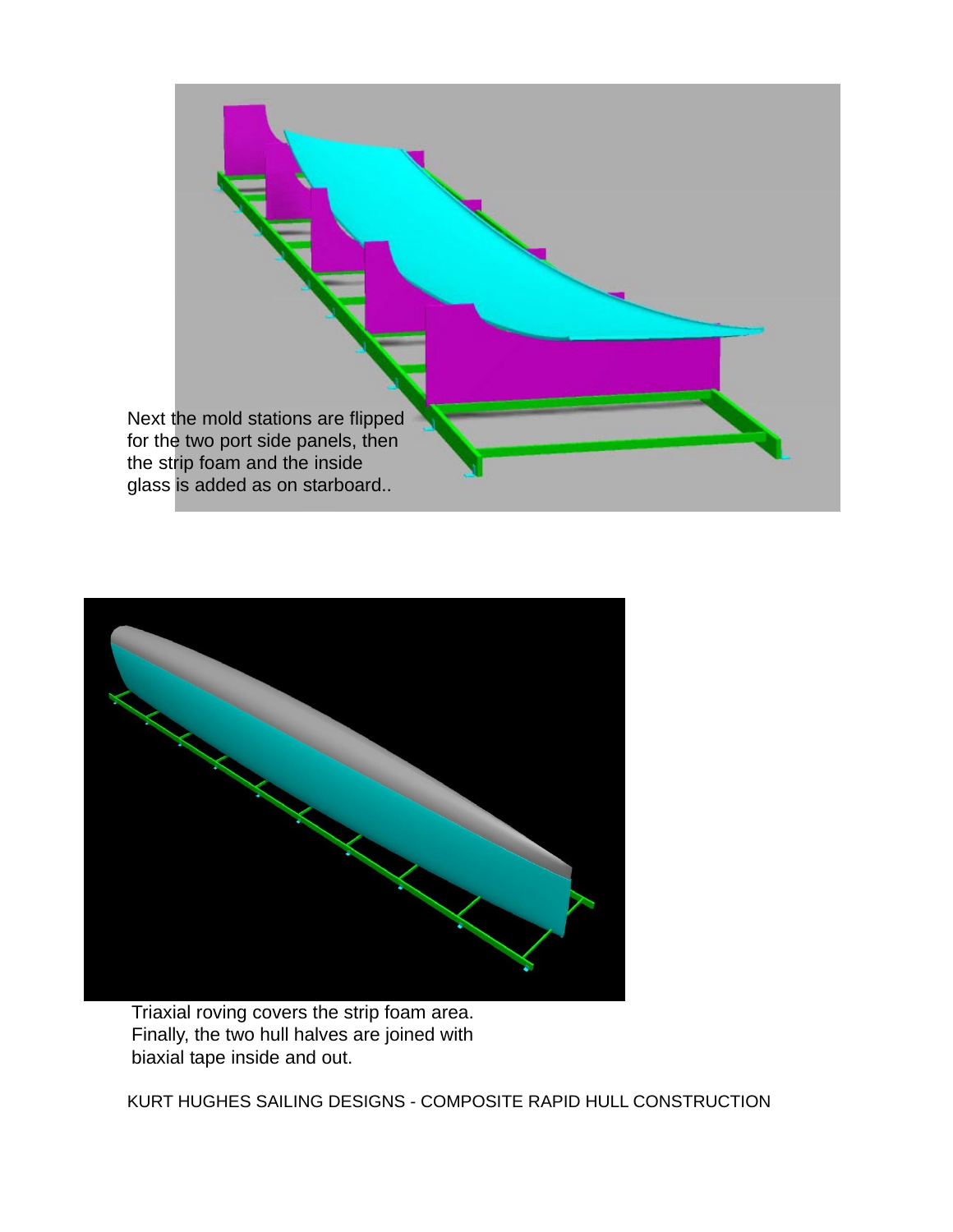



Triaxial roving covers the strip foam area. Finally, the two hull halves are joined with biaxial tape inside and out.